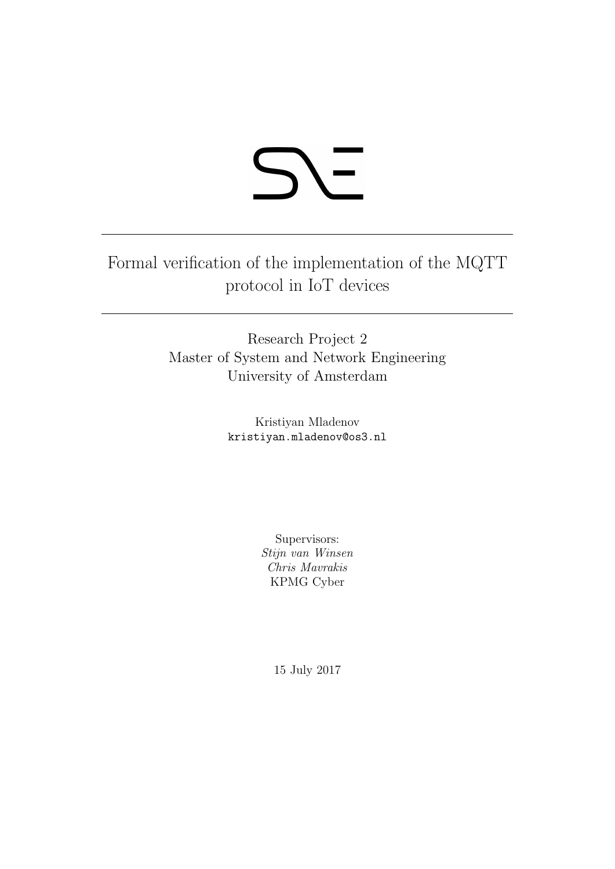# **SY-**

Formal verification of the implementation of the MQTT protocol in IoT devices

> Research Project 2 Master of System and Network Engineering University of Amsterdam

> > Kristiyan Mladenov kristiyan.mladenov@os3.nl

> > > Supervisors: Stijn van Winsen Chris Mavrakis KPMG Cyber

> > > > 15 July 2017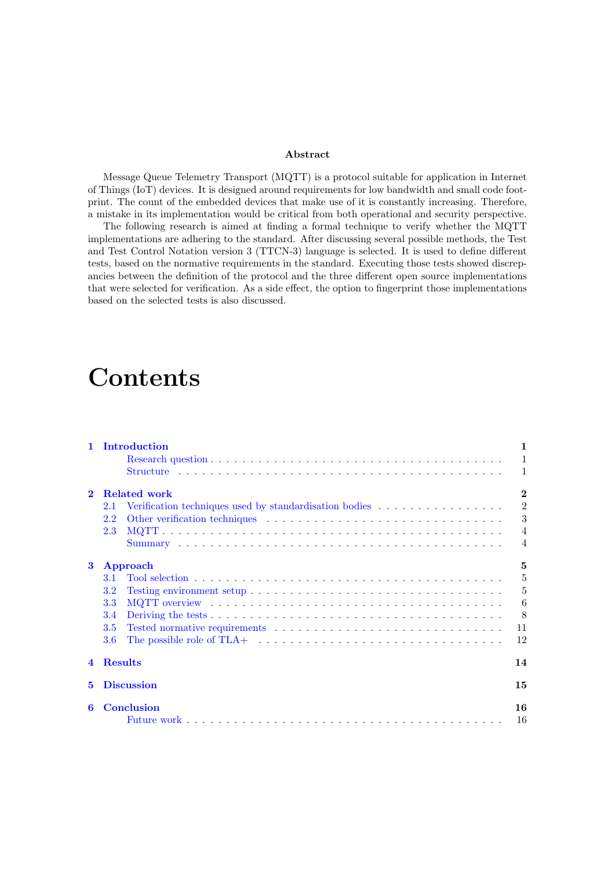#### Abstract

Message Queue Telemetry Transport (MQTT) is a protocol suitable for application in Internet of Things (IoT) devices. It is designed around requirements for low bandwidth and small code footprint. The count of the embedded devices that make use of it is constantly increasing. Therefore, a mistake in its implementation would be critical from both operational and security perspective.

The following research is aimed at finding a formal technique to verify whether the MQTT implementations are adhering to the standard. After discussing several possible methods, the Test and Test Control Notation version 3 (TTCN-3) language is selected. It is used to define different tests, based on the normative requirements in the standard. Executing those tests showed discrepancies between the definition of the protocol and the three different open source implementations that were selected for verification. As a side effect, the option to fingerprint those implementations based on the selected tests is also discussed.

## Contents

| $\mathbf{1}$ | Introduction                                                                                                     | $\mathbf{1}$    |
|--------------|------------------------------------------------------------------------------------------------------------------|-----------------|
|              |                                                                                                                  | $\mathbf{1}$    |
|              |                                                                                                                  | $\mathbf{1}$    |
| $\mathbf{2}$ | <b>Related work</b>                                                                                              | $\bf{2}$        |
|              | Verification techniques used by standardisation bodies<br>2.1                                                    | $\sqrt{2}$      |
|              | $2.2^{\circ}$                                                                                                    | 3               |
|              | 2.3                                                                                                              | $\overline{4}$  |
|              |                                                                                                                  | $\overline{4}$  |
| $\bf{3}$     | <b>Approach</b>                                                                                                  | 5               |
|              | <b>3.1</b>                                                                                                       | $\overline{5}$  |
|              | 3.2                                                                                                              | $\overline{5}$  |
|              | 3.3                                                                                                              | $6\phantom{.}6$ |
|              | 3.4                                                                                                              | - 8             |
|              | 3.5                                                                                                              | 11              |
|              | The possible role of TLA+ $\dots \dots \dots \dots \dots \dots \dots \dots \dots \dots \dots \dots \dots$<br>3.6 | 12              |
| $\mathbf 4$  | <b>Results</b>                                                                                                   | 14              |
| 5.           | <b>Discussion</b>                                                                                                | 15              |
| 6            | <b>Conclusion</b>                                                                                                | 16              |
|              |                                                                                                                  | 16              |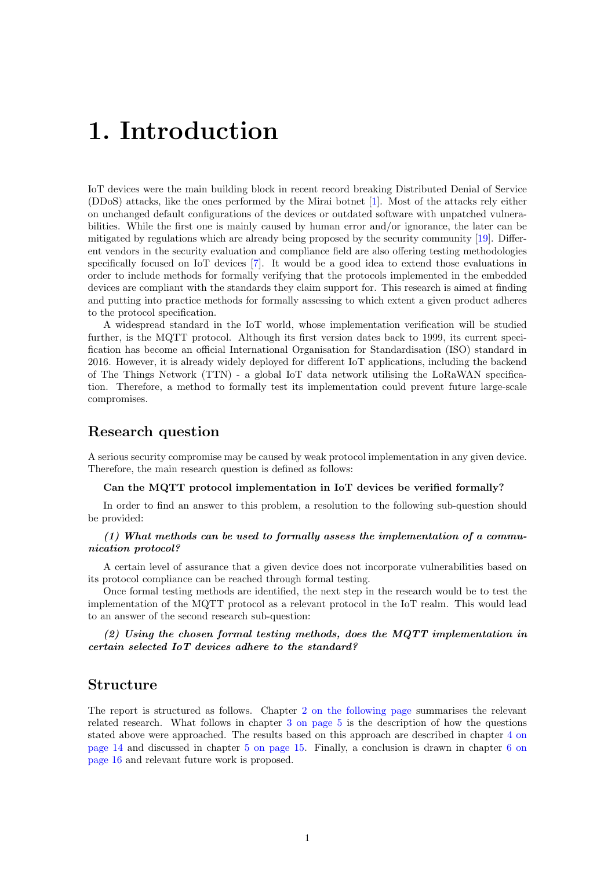# <span id="page-2-0"></span>1. Introduction

IoT devices were the main building block in recent record breaking Distributed Denial of Service (DDoS) attacks, like the ones performed by the Mirai botnet [\[1\]](#page-19-0). Most of the attacks rely either on unchanged default configurations of the devices or outdated software with unpatched vulnerabilities. While the first one is mainly caused by human error and/or ignorance, the later can be mitigated by regulations which are already being proposed by the security community [\[19\]](#page-20-0). Different vendors in the security evaluation and compliance field are also offering testing methodologies specifically focused on IoT devices [\[7\]](#page-19-1). It would be a good idea to extend those evaluations in order to include methods for formally verifying that the protocols implemented in the embedded devices are compliant with the standards they claim support for. This research is aimed at finding and putting into practice methods for formally assessing to which extent a given product adheres to the protocol specification.

A widespread standard in the IoT world, whose implementation verification will be studied further, is the MQTT protocol. Although its first version dates back to 1999, its current specification has become an official International Organisation for Standardisation (ISO) standard in 2016. However, it is already widely deployed for different IoT applications, including the backend of The Things Network (TTN) - a global IoT data network utilising the LoRaWAN specification. Therefore, a method to formally test its implementation could prevent future large-scale compromises.

#### Research question

<span id="page-2-1"></span>A serious security compromise may be caused by weak protocol implementation in any given device. Therefore, the main research question is defined as follows:

Can the MQTT protocol implementation in IoT devices be verified formally?

In order to find an answer to this problem, a resolution to the following sub-question should be provided:

#### (1) What methods can be used to formally assess the implementation of a communication protocol?

A certain level of assurance that a given device does not incorporate vulnerabilities based on its protocol compliance can be reached through formal testing.

Once formal testing methods are identified, the next step in the research would be to test the implementation of the MQTT protocol as a relevant protocol in the IoT realm. This would lead to an answer of the second research sub-question:

(2) Using the chosen formal testing methods, does the MQTT implementation in certain selected IoT devices adhere to the standard?

#### Structure

The report is structured as follows. Chapter [2 on the following page](#page-3-0) summarises the relevant related research. What follows in chapter [3 on page 5](#page-6-0) is the description of how the questions stated above were approached. The results based on this approach are described in chapter [4 on](#page-15-0) [page 14](#page-15-0) and discussed in chapter [5 on page 15.](#page-16-0) Finally, a conclusion is drawn in chapter [6 on](#page-17-0) [page 16](#page-17-0) and relevant future work is proposed.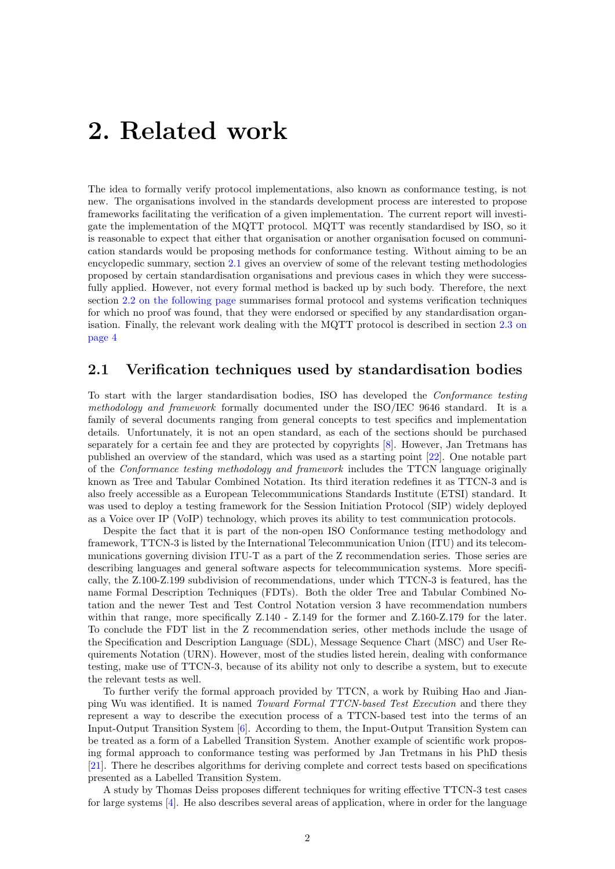## <span id="page-3-0"></span>2. Related work

The idea to formally verify protocol implementations, also known as conformance testing, is not new. The organisations involved in the standards development process are interested to propose frameworks facilitating the verification of a given implementation. The current report will investigate the implementation of the MQTT protocol. MQTT was recently standardised by ISO, so it is reasonable to expect that either that organisation or another organisation focused on communication standards would be proposing methods for conformance testing. Without aiming to be an encyclopedic summary, section [2.1](#page-3-1) gives an overview of some of the relevant testing methodologies proposed by certain standardisation organisations and previous cases in which they were successfully applied. However, not every formal method is backed up by such body. Therefore, the next section [2.2 on the following page](#page-4-0) summarises formal protocol and systems verification techniques for which no proof was found, that they were endorsed or specified by any standardisation organisation. Finally, the relevant work dealing with the MQTT protocol is described in section [2.3 on](#page-5-0) [page 4](#page-5-0)

#### <span id="page-3-1"></span>2.1 Verification techniques used by standardisation bodies

To start with the larger standardisation bodies, ISO has developed the Conformance testing methodology and framework formally documented under the ISO/IEC 9646 standard. It is a family of several documents ranging from general concepts to test specifics and implementation details. Unfortunately, it is not an open standard, as each of the sections should be purchased separately for a certain fee and they are protected by copyrights [\[8\]](#page-19-2). However, Jan Tretmans has published an overview of the standard, which was used as a starting point [\[22\]](#page-20-1). One notable part of the Conformance testing methodology and framework includes the TTCN language originally known as Tree and Tabular Combined Notation. Its third iteration redefines it as TTCN-3 and is also freely accessible as a European Telecommunications Standards Institute (ETSI) standard. It was used to deploy a testing framework for the Session Initiation Protocol (SIP) widely deployed as a Voice over IP (VoIP) technology, which proves its ability to test communication protocols.

Despite the fact that it is part of the non-open ISO Conformance testing methodology and framework, TTCN-3 is listed by the International Telecommunication Union (ITU) and its telecommunications governing division ITU-T as a part of the Z recommendation series. Those series are describing languages and general software aspects for telecommunication systems. More specifically, the Z.100-Z.199 subdivision of recommendations, under which TTCN-3 is featured, has the name Formal Description Techniques (FDTs). Both the older Tree and Tabular Combined Notation and the newer Test and Test Control Notation version 3 have recommendation numbers within that range, more specifically Z.140 - Z.149 for the former and Z.160-Z.179 for the later. To conclude the FDT list in the Z recommendation series, other methods include the usage of the Specification and Description Language (SDL), Message Sequence Chart (MSC) and User Requirements Notation (URN). However, most of the studies listed herein, dealing with conformance testing, make use of TTCN-3, because of its ability not only to describe a system, but to execute the relevant tests as well.

To further verify the formal approach provided by TTCN, a work by Ruibing Hao and Jianping Wu was identified. It is named Toward Formal TTCN-based Test Execution and there they represent a way to describe the execution process of a TTCN-based test into the terms of an Input-Output Transition System [\[6\]](#page-19-3). According to them, the Input-Output Transition System can be treated as a form of a Labelled Transition System. Another example of scientific work proposing formal approach to conformance testing was performed by Jan Tretmans in his PhD thesis [\[21\]](#page-20-2). There he describes algorithms for deriving complete and correct tests based on specifications presented as a Labelled Transition System.

A study by Thomas Deiss proposes different techniques for writing effective TTCN-3 test cases for large systems [\[4\]](#page-19-4). He also describes several areas of application, where in order for the language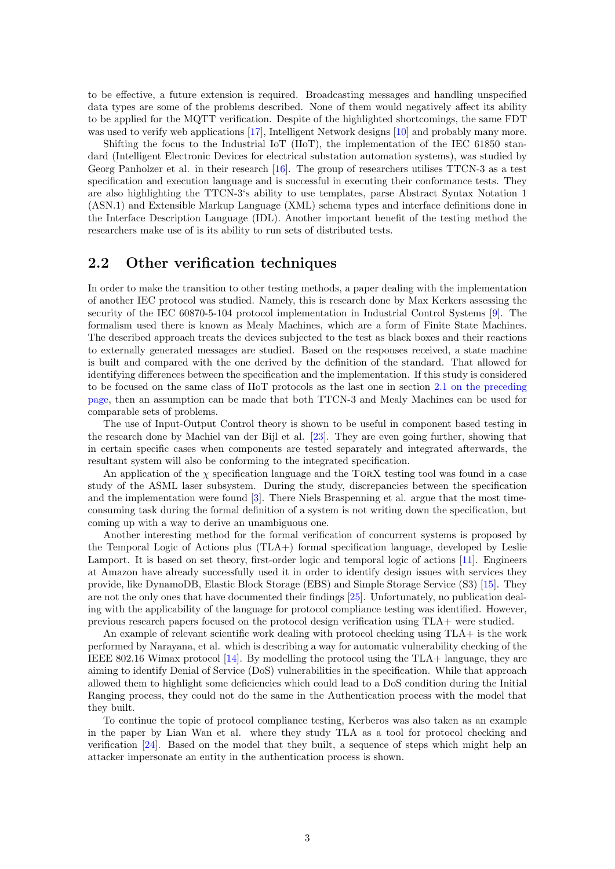to be effective, a future extension is required. Broadcasting messages and handling unspecified data types are some of the problems described. None of them would negatively affect its ability to be applied for the MQTT verification. Despite of the highlighted shortcomings, the same FDT was used to verify web applications [\[17\]](#page-20-3), Intelligent Network designs [\[10\]](#page-19-5) and probably many more.

Shifting the focus to the Industrial IoT (IIoT), the implementation of the IEC 61850 standard (Intelligent Electronic Devices for electrical substation automation systems), was studied by Georg Panholzer et al. in their research [\[16\]](#page-19-6). The group of researchers utilises TTCN-3 as a test specification and execution language and is successful in executing their conformance tests. They are also highlighting the TTCN-3's ability to use templates, parse Abstract Syntax Notation 1 (ASN.1) and Extensible Markup Language (XML) schema types and interface definitions done in the Interface Description Language (IDL). Another important benefit of the testing method the researchers make use of is its ability to run sets of distributed tests.

#### <span id="page-4-0"></span>2.2 Other verification techniques

In order to make the transition to other testing methods, a paper dealing with the implementation of another IEC protocol was studied. Namely, this is research done by Max Kerkers assessing the security of the IEC 60870-5-104 protocol implementation in Industrial Control Systems [\[9\]](#page-19-7). The formalism used there is known as Mealy Machines, which are a form of Finite State Machines. The described approach treats the devices subjected to the test as black boxes and their reactions to externally generated messages are studied. Based on the responses received, a state machine is built and compared with the one derived by the definition of the standard. That allowed for identifying differences between the specification and the implementation. If this study is considered to be focused on the same class of IIoT protocols as the last one in section [2.1 on the preceding](#page-3-1) [page,](#page-3-1) then an assumption can be made that both TTCN-3 and Mealy Machines can be used for comparable sets of problems.

The use of Input-Output Control theory is shown to be useful in component based testing in the research done by Machiel van der Bijl et al. [\[23\]](#page-20-4). They are even going further, showing that in certain specific cases when components are tested separately and integrated afterwards, the resultant system will also be conforming to the integrated specification.

An application of the  $\chi$  specification language and the TORX testing tool was found in a case study of the ASML laser subsystem. During the study, discrepancies between the specification and the implementation were found [\[3\]](#page-19-8). There Niels Braspenning et al. argue that the most timeconsuming task during the formal definition of a system is not writing down the specification, but coming up with a way to derive an unambiguous one.

Another interesting method for the formal verification of concurrent systems is proposed by the Temporal Logic of Actions plus (TLA+) formal specification language, developed by Leslie Lamport. It is based on set theory, first-order logic and temporal logic of actions [\[11\]](#page-19-9). Engineers at Amazon have already successfully used it in order to identify design issues with services they provide, like DynamoDB, Elastic Block Storage (EBS) and Simple Storage Service (S3) [\[15\]](#page-19-10). They are not the only ones that have documented their findings [\[25\]](#page-20-5). Unfortunately, no publication dealing with the applicability of the language for protocol compliance testing was identified. However, previous research papers focused on the protocol design verification using TLA+ were studied.

An example of relevant scientific work dealing with protocol checking using TLA+ is the work performed by Narayana, et al. which is describing a way for automatic vulnerability checking of the IEEE 802.16 Wimax protocol [\[14\]](#page-19-11). By modelling the protocol using the TLA+ language, they are aiming to identify Denial of Service (DoS) vulnerabilities in the specification. While that approach allowed them to highlight some deficiencies which could lead to a DoS condition during the Initial Ranging process, they could not do the same in the Authentication process with the model that they built.

To continue the topic of protocol compliance testing, Kerberos was also taken as an example in the paper by Lian Wan et al. where they study TLA as a tool for protocol checking and verification [\[24\]](#page-20-6). Based on the model that they built, a sequence of steps which might help an attacker impersonate an entity in the authentication process is shown.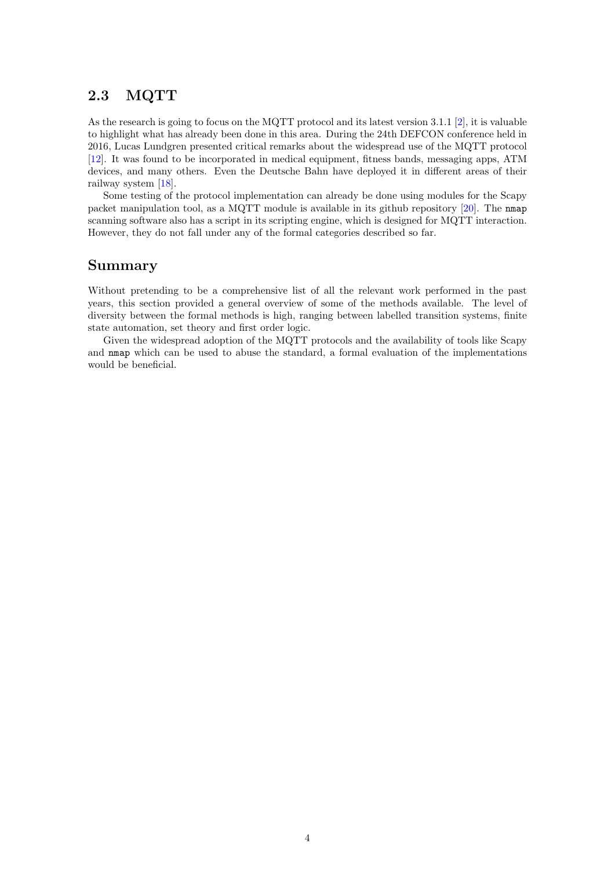## <span id="page-5-0"></span>2.3 MQTT

As the research is going to focus on the MQTT protocol and its latest version 3.1.1 [\[2\]](#page-19-12), it is valuable to highlight what has already been done in this area. During the 24th DEFCON conference held in 2016, Lucas Lundgren presented critical remarks about the widespread use of the MQTT protocol [\[12\]](#page-19-13). It was found to be incorporated in medical equipment, fitness bands, messaging apps, ATM devices, and many others. Even the Deutsche Bahn have deployed it in different areas of their railway system [\[18\]](#page-20-7).

Some testing of the protocol implementation can already be done using modules for the Scapy packet manipulation tool, as a MQTT module is available in its github repository [\[20\]](#page-20-8). The nmap scanning software also has a script in its scripting engine, which is designed for MQTT interaction. However, they do not fall under any of the formal categories described so far.

#### Summary

Without pretending to be a comprehensive list of all the relevant work performed in the past years, this section provided a general overview of some of the methods available. The level of diversity between the formal methods is high, ranging between labelled transition systems, finite state automation, set theory and first order logic.

Given the widespread adoption of the MQTT protocols and the availability of tools like Scapy and nmap which can be used to abuse the standard, a formal evaluation of the implementations would be beneficial.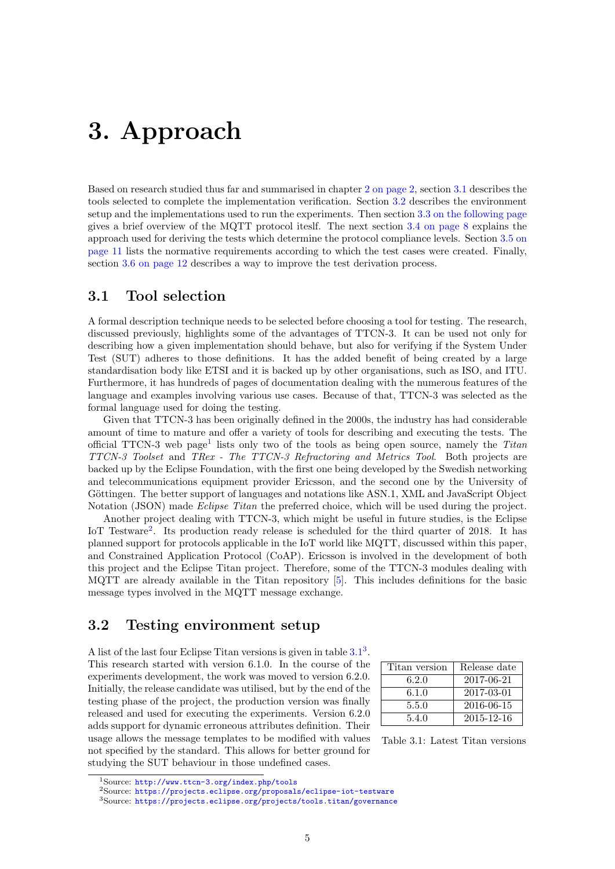# <span id="page-6-0"></span>3. Approach

Based on research studied thus far and summarised in chapter [2 on page 2,](#page-3-0) section [3.1](#page-6-1) describes the tools selected to complete the implementation verification. Section [3.2](#page-6-2) describes the environment setup and the implementations used to run the experiments. Then section [3.3 on the following page](#page-7-0) gives a brief overview of the MQTT protocol iteslf. The next section [3.4 on page 8](#page-9-0) explains the approach used for deriving the tests which determine the protocol compliance levels. Section [3.5 on](#page-12-0) [page 11](#page-12-0) lists the normative requirements according to which the test cases were created. Finally, section [3.6 on page 12](#page-13-0) describes a way to improve the test derivation process.

#### <span id="page-6-1"></span>3.1 Tool selection

A formal description technique needs to be selected before choosing a tool for testing. The research, discussed previously, highlights some of the advantages of TTCN-3. It can be used not only for describing how a given implementation should behave, but also for verifying if the System Under Test (SUT) adheres to those definitions. It has the added benefit of being created by a large standardisation body like ETSI and it is backed up by other organisations, such as ISO, and ITU. Furthermore, it has hundreds of pages of documentation dealing with the numerous features of the language and examples involving various use cases. Because of that, TTCN-3 was selected as the formal language used for doing the testing.

Given that TTCN-3 has been originally defined in the 2000s, the industry has had considerable amount of time to mature and offer a variety of tools for describing and executing the tests. The official TTCN-3 web page<sup>[1](#page-6-3)</sup> lists only two of the tools as being open source, namely the Titan TTCN-3 Toolset and TRex - The TTCN-3 Refractoring and Metrics Tool. Both projects are backed up by the Eclipse Foundation, with the first one being developed by the Swedish networking and telecommunications equipment provider Ericsson, and the second one by the University of Göttingen. The better support of languages and notations like ASN.1, XML and JavaScript Object Notation (JSON) made *Eclipse Titan* the preferred choice, which will be used during the project.

Another project dealing with TTCN-3, which might be useful in future studies, is the Eclipse IoT Testware<sup>[2](#page-6-4)</sup>. Its production ready release is scheduled for the third quarter of 2018. It has planned support for protocols applicable in the IoT world like MQTT, discussed within this paper, and Constrained Application Protocol (CoAP). Ericsson is involved in the development of both this project and the Eclipse Titan project. Therefore, some of the TTCN-3 modules dealing with MQTT are already available in the Titan repository [\[5\]](#page-19-14). This includes definitions for the basic message types involved in the MQTT message exchange.

#### <span id="page-6-2"></span>3.2 Testing environment setup

A list of the last four Eclipse Titan versions is given in table  $3.1<sup>3</sup>$  $3.1<sup>3</sup>$  $3.1<sup>3</sup>$  $3.1<sup>3</sup>$ . This research started with version 6.1.0. In the course of the experiments development, the work was moved to version 6.2.0. Initially, the release candidate was utilised, but by the end of the testing phase of the project, the production version was finally released and used for executing the experiments. Version 6.2.0 adds support for dynamic erroneous attributes definition. Their usage allows the message templates to be modified with values not specified by the standard. This allows for better ground for studying the SUT behaviour in those undefined cases.

| Titan version | Release date |
|---------------|--------------|
| 6.2.0         | 2017-06-21   |
| 6.1.0         | 2017-03-01   |
| 5.5.0         | 2016-06-15   |
| 5.4.0         | 2015-12-16   |

<span id="page-6-5"></span>Table 3.1: Latest Titan versions

<span id="page-6-6"></span><span id="page-6-4"></span><sup>2</sup>Source: <https://projects.eclipse.org/proposals/eclipse-iot-testware> <sup>3</sup>Source: <https://projects.eclipse.org/projects/tools.titan/governance>

<span id="page-6-3"></span><sup>1</sup>Source: <http://www.ttcn-3.org/index.php/tools>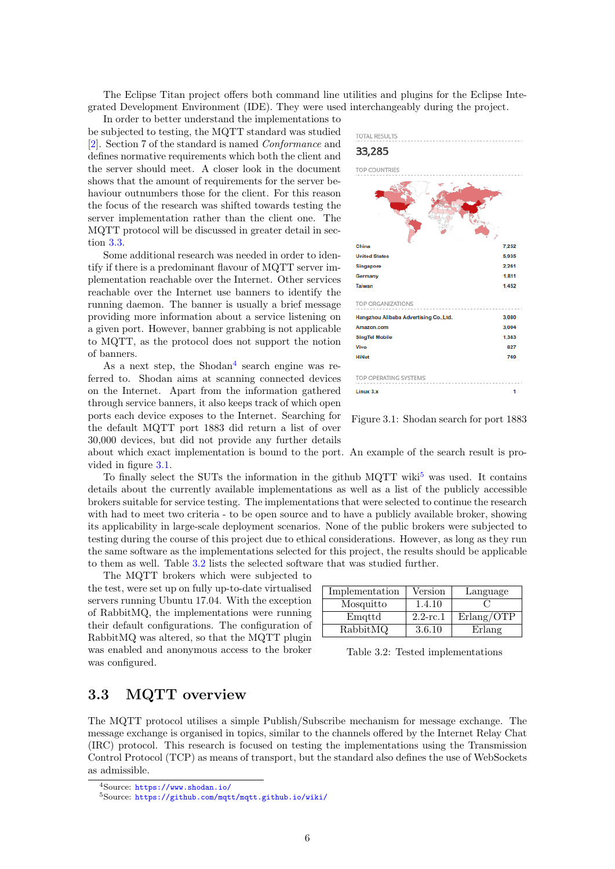The Eclipse Titan project offers both command line utilities and plugins for the Eclipse Integrated Development Environment (IDE). They were used interchangeably during the project.

In order to better understand the implementations to be subjected to testing, the MQTT standard was studied [\[2\]](#page-19-12). Section 7 of the standard is named Conformance and defines normative requirements which both the client and the server should meet. A closer look in the document shows that the amount of requirements for the server behaviour outnumbers those for the client. For this reason the focus of the research was shifted towards testing the server implementation rather than the client one. The MQTT protocol will be discussed in greater detail in section [3.3.](#page-7-0)

Some additional research was needed in order to identify if there is a predominant flavour of MQTT server implementation reachable over the Internet. Other services reachable over the Internet use banners to identify the running daemon. The banner is usually a brief message providing more information about a service listening on a given port. However, banner grabbing is not applicable to MQTT, as the protocol does not support the notion of banners.

As a next step, the Shodan<sup>[4](#page-7-1)</sup> search engine was referred to. Shodan aims at scanning connected devices on the Internet. Apart from the information gathered through service banners, it also keeps track of which open ports each device exposes to the Internet. Searching for the default MQTT port 1883 did return a list of over 30,000 devices, but did not provide any further details

**TOTAL RESULTS** 33.285 TOP COUNTRIE China  $7.251$ **United State** 5.935 **Singapore** 2.261  $1.811$ Germany Taiwan 1.452 TOP ORGANIZATIONS Hangzhou Alibaba Advertising Co.,Ltd 3.080 Amazon.com 3.004 **SingTel Mobile** 1.383 Vive 827 HiNe 769 TOP OPERATING SYSTEMS Linux 3.  $\overline{\mathbf{1}}$ 

<span id="page-7-2"></span>

about which exact implementation is bound to the port. An example of the search result is provided in figure [3.1.](#page-7-2)

To finally select the SUTs the information in the github  $MQTT$  wiki<sup>[5](#page-7-3)</sup> was used. It contains details about the currently available implementations as well as a list of the publicly accessible brokers suitable for service testing. The implementations that were selected to continue the research with had to meet two criteria - to be open source and to have a publicly available broker, showing its applicability in large-scale deployment scenarios. None of the public brokers were subjected to testing during the course of this project due to ethical considerations. However, as long as they run the same software as the implementations selected for this project, the results should be applicable to them as well. Table [3.2](#page-7-4) lists the selected software that was studied further.

The MQTT brokers which were subjected to the test, were set up on fully up-to-date virtualised servers running Ubuntu 17.04. With the exception of RabbitMQ, the implementations were running their default configurations. The configuration of RabbitMQ was altered, so that the MQTT plugin was enabled and anonymous access to the broker was configured.

| Implementation | Version     | Language   |
|----------------|-------------|------------|
| Mosquitto      | 1.4.10      |            |
| Emattd         | $2.2$ -rc.1 | Erlang/OTP |
| RabbitMQ       | 3.6.10      | Erlang     |

<span id="page-7-4"></span>Table 3.2: Tested implementations

## <span id="page-7-0"></span>3.3 MQTT overview

The MQTT protocol utilises a simple Publish/Subscribe mechanism for message exchange. The message exchange is organised in topics, similar to the channels offered by the Internet Relay Chat (IRC) protocol. This research is focused on testing the implementations using the Transmission Control Protocol (TCP) as means of transport, but the standard also defines the use of WebSockets as admissible.

<span id="page-7-3"></span><span id="page-7-1"></span> $4$ Source:  $https://www.shodan.io/$ 

<sup>5</sup>Source: <https://github.com/mqtt/mqtt.github.io/wiki/>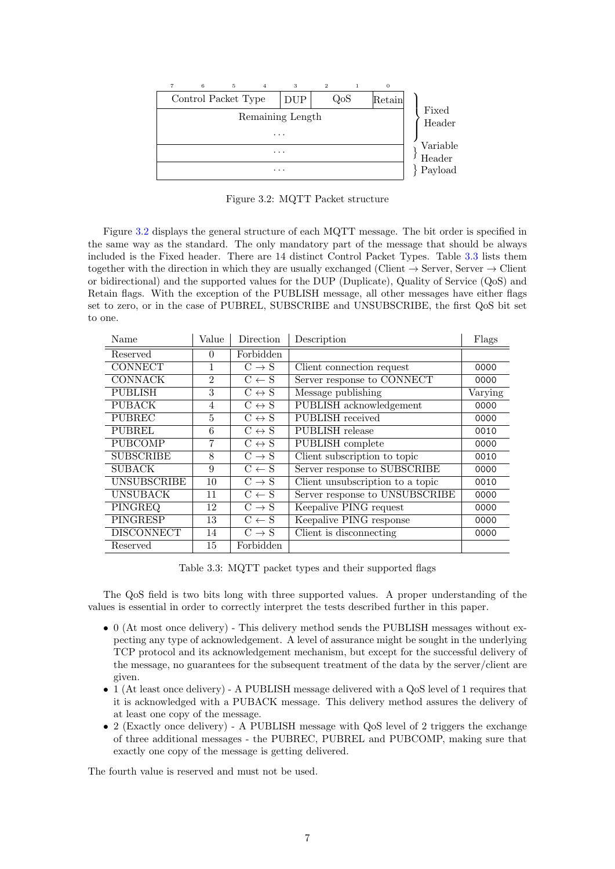

<span id="page-8-0"></span>Figure 3.2: MQTT Packet structure

Figure [3.2](#page-8-0) displays the general structure of each MQTT message. The bit order is specified in the same way as the standard. The only mandatory part of the message that should be always included is the Fixed header. There are 14 distinct Control Packet Types. Table [3.3](#page-8-1) lists them together with the direction in which they are usually exchanged (Client  $\rightarrow$  Server, Server  $\rightarrow$  Client or bidirectional) and the supported values for the DUP (Duplicate), Quality of Service (QoS) and Retain flags. With the exception of the PUBLISH message, all other messages have either flags set to zero, or in the case of PUBREL, SUBSCRIBE and UNSUBSCRIBE, the first QoS bit set to one.

| Value<br>Name                                |                | Direction             | Description                      | Flags   |  |
|----------------------------------------------|----------------|-----------------------|----------------------------------|---------|--|
| Reserved                                     | $\Omega$       | Forbidden             |                                  |         |  |
| <b>CONNECT</b><br>1<br>$C \rightarrow S$     |                |                       | Client connection request        | 0000    |  |
| <b>CONNACK</b>                               | $\mathfrak{D}$ | $C \leftarrow S$      | Server response to CONNECT       | 0000    |  |
| <b>PUBLISH</b>                               | 3              | $C \leftrightarrow S$ | Message publishing               | Varying |  |
| <b>PUBACK</b>                                | $\overline{4}$ | $C \leftrightarrow S$ | PUBLISH acknowledgement          | 0000    |  |
| <b>PUBREC</b>                                | 5              | $C \leftrightarrow S$ | PUBLISH received                 | 0000    |  |
| <b>PUBREL</b><br>6<br>$C \leftrightarrow S$  |                |                       | PUBLISH release                  | 0010    |  |
| <b>PUBCOMP</b><br>7<br>$C \leftrightarrow S$ |                |                       | PUBLISH complete                 | 0000    |  |
| <b>SUBSCRIBE</b><br>8<br>$C \rightarrow S$   |                |                       | Client subscription to topic     | 0010    |  |
| <b>SUBACK</b><br>$C \leftarrow S$<br>9       |                |                       | Server response to SUBSCRIBE     | 0000    |  |
| <b>UNSUBSCRIBE</b>                           | 10             | $C \rightarrow S$     | Client unsubscription to a topic | 0010    |  |
| <b>UNSUBACK</b>                              | 11             | $C \leftarrow S$      | Server response to UNSUBSCRIBE   | 0000    |  |
| PINGREQ                                      | 12             | $C \rightarrow S$     | Keepalive PING request           | 0000    |  |
| <b>PINGRESP</b>                              | 13             | $C \leftarrow S$      | Keepalive PING response          | 0000    |  |
| <b>DISCONNECT</b>                            | 14             | $C \rightarrow S$     | Client is disconnecting          | 0000    |  |
| Reserved                                     | 15             | Forbidden             |                                  |         |  |

<span id="page-8-1"></span>Table 3.3: MQTT packet types and their supported flags

The QoS field is two bits long with three supported values. A proper understanding of the values is essential in order to correctly interpret the tests described further in this paper.

- 0 (At most once delivery) This delivery method sends the PUBLISH messages without expecting any type of acknowledgement. A level of assurance might be sought in the underlying TCP protocol and its acknowledgement mechanism, but except for the successful delivery of the message, no guarantees for the subsequent treatment of the data by the server/client are given.
- 1 (At least once delivery) A PUBLISH message delivered with a QoS level of 1 requires that it is acknowledged with a PUBACK message. This delivery method assures the delivery of at least one copy of the message.
- 2 (Exactly once delivery) A PUBLISH message with QoS level of 2 triggers the exchange of three additional messages - the PUBREC, PUBREL and PUBCOMP, making sure that exactly one copy of the message is getting delivered.

The fourth value is reserved and must not be used.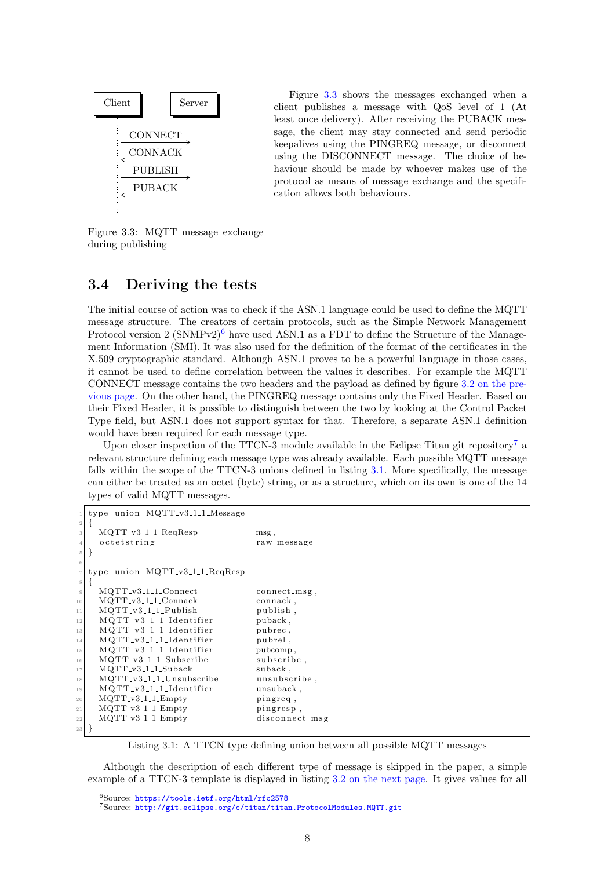

Figure [3.3](#page-9-1) shows the messages exchanged when a client publishes a message with QoS level of 1 (At least once delivery). After receiving the PUBACK message, the client may stay connected and send periodic keepalives using the PINGREQ message, or disconnect using the DISCONNECT message. The choice of behaviour should be made by whoever makes use of the protocol as means of message exchange and the specification allows both behaviours.

<span id="page-9-1"></span>Figure 3.3: MQTT message exchange during publishing

#### <span id="page-9-0"></span>3.4 Deriving the tests

The initial course of action was to check if the ASN.1 language could be used to define the MQTT message structure. The creators of certain protocols, such as the Simple Network Management Protocol version 2 (SNMPv2)<sup>[6](#page-9-2)</sup> have used ASN.1 as a FDT to define the Structure of the Management Information (SMI). It was also used for the definition of the format of the certificates in the X.509 cryptographic standard. Although ASN.1 proves to be a powerful language in those cases, it cannot be used to define correlation between the values it describes. For example the MQTT CONNECT message contains the two headers and the payload as defined by figure [3.2 on the pre](#page-8-0)[vious page.](#page-8-0) On the other hand, the PINGREQ message contains only the Fixed Header. Based on their Fixed Header, it is possible to distinguish between the two by looking at the Control Packet Type field, but ASN.1 does not support syntax for that. Therefore, a separate ASN.1 definition would have been required for each message type.

Upon closer inspection of the TTCN-3 module available in the Eclipse Titan git repository<sup>[7](#page-9-3)</sup> a relevant structure defining each message type was already available. Each possible MQTT message falls within the scope of the TTCN-3 unions defined in listing [3.1.](#page-9-4) More specifically, the message can either be treated as an octet (byte) string, or as a structure, which on its own is one of the 14 types of valid MQTT messages.

```
type union MQTT_v3_1_1_Message
2 \mid \{MQTT_v3_l1_lReqResp msg,
   o c t e t s t r in g raw _ message
  <u>]</u>
6
  type union MQTT_v3_1_1_ReqResp
 \{MQTT_v3_11_1Connect connect_msg,
10 MQTT_v3_1_1_Connack connack,
11 MQTT_v3_1_1_Publish publish,
12 MQTT_v3_1_1_Identifier puback,
13 MQTT_v3_1_1_Identifier pubrec,
14 MQTT_v3_1_1_Identifier pubrel,
15 MQTT_v3_1_1_Identifier pubcomp.
16 MQTT_v3_1_1_Subscribe subscribe
17 MQTT_v3_1_1_Suback suback,
18 MQTT_v3_1_1_Unsubscribe unsubscribe,
19 MQTT_v3_1_1_Identifier unsuback,
20 MOTT_v3_1_1_Empty pingreq.
21 MQTT_v3_1_1_Empty pingresp,
22 MQTT_v3_1_1_Empty disconnect_msg
23 }
```
Listing 3.1: A TTCN type defining union between all possible MQTT messages

Although the description of each different type of message is skipped in the paper, a simple example of a TTCN-3 template is displayed in listing [3.2 on the next page.](#page-10-0) It gives values for all

<span id="page-9-2"></span><sup>6</sup>Source: <https://tools.ietf.org/html/rfc2578>

<span id="page-9-3"></span><sup>7</sup>Source: <http://git.eclipse.org/c/titan/titan.ProtocolModules.MQTT.git>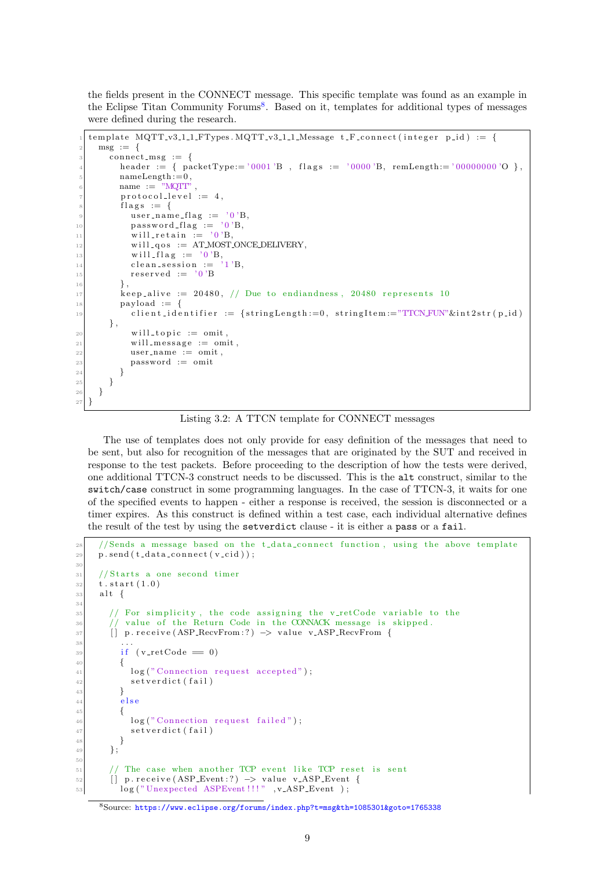the fields present in the CONNECT message. This specific template was found as an example in the Eclipse Titan Community Forums<sup>[8](#page-10-1)</sup>. Based on it, templates for additional types of messages were defined during the research.

```
template MQTT_v3.1.1.FTypes. MQTT_v3.1.1.Message t_Fconnect(integer p_id) := \{\text{msg} := \{connect_msg := \{header := { paceType := '0001'B, flags := '0000'B, remLength:= '00000000'O },
          nameLength := 0,
          name := "MOTT"
          \text{protocol-level} := 4,flags := {
            user_name_flag := '0'B,
10 password_flag := '0'B,
\begin{array}{rcl} \text{11} \\ \text{12} \end{array} will_retain := '0'B,
|12| will_qos := AT_MOST_ONCE_DELIVERY,
\begin{array}{ccc} \text{13} \\ \text{14} \end{array} will flag := \begin{array}{c} \text{'0'B}, \\ \text{clean session} \end{array}14 clean session :=15 \text{respectved} := '0' \text{B}16,
\begin{array}{rcl} \text{17} \\ \text{18} \end{array} keep_alive := 20480, // Due to endiandness, 20480 represents 10
_{18} payload := {
client_identifier := {stringLength := 0, stringItem := "TTCN-FUN" \& int2str (p_id)} ,
[20] will_topic := omit,
|21| will message := omit.
22 user_name := omit
23 password := omit
24 }
25 }
26 }
27}
```
Listing 3.2: A TTCN template for CONNECT messages

The use of templates does not only provide for easy definition of the messages that need to be sent, but also for recognition of the messages that are originated by the SUT and received in response to the test packets. Before proceeding to the description of how the tests were derived, one additional TTCN-3 construct needs to be discussed. This is the alt construct, similar to the switch/case construct in some programming languages. In the case of TTCN-3, it waits for one of the specified events to happen - either a response is received, the session is disconnected or a timer expires. As this construct is defined within a test case, each individual alternative defines the result of the test by using the setverdict clause - it is either a pass or a fail.

```
28 // Sends a message based on the t_data_connect function, using the above template
_{29} p. send (t_data_connect (v_cid));
30
31 / 5 tarts a one second timer
32 t . start (1.0)33 alt {
34
35 // For simplicity, the code assigning the v_retCode variable to the
\frac{36}{10} // value of the Return Code in the CONNACK message is skipped.
37 [ ] p. receive (ASP_RecvFrom : ?) \rightarrow value v_ASP_RecvFrom {
38 . . . .
_{39} if ( v_retCode == 0)
40 {
41 log ("Connection request accepted");
42 set verdict (fail)
43 }
44 e l s e
45 {
46 log("Connection request failed");
47 set verdict (fail)
48 }
49 };
50
|51| // The case when another TCP event like TCP reset is sent
\begin{array}{c|c|c|c|c|c} \hline 52 & \text{if} & \text{p} \text{ receive (ASP\_Event :?)} \rightarrow \text{value v_ASP\_Event } \end{array}log ("Unexpected ASPEvent !!!" , v_ASP_Event );
```

```
8Source: https://www.eclipse.org/forums/index.php?t=msg&th=1085301&goto=1765338
```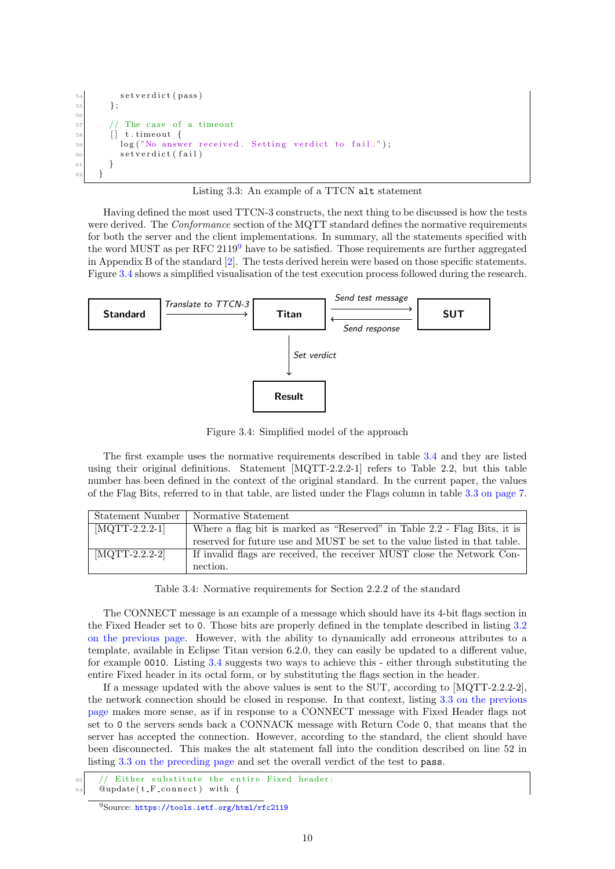```
s e t v e r dict (pass)
55 };
56
57 // The case of a timeout
58 [ ] t . time out {
\begin{bmatrix} 59 \end{bmatrix} log("No answer received. Setting verdict to fail.");
60 set verdict (fail)
61 }
62 }
```
Listing 3.3: An example of a TTCN alt statement

Having defined the most used TTCN-3 constructs, the next thing to be discussed is how the tests were derived. The *Conformance* section of the MQTT standard defines the normative requirements for both the server and the client implementations. In summary, all the statements specified with the word MUST as per RFC  $2119<sup>9</sup>$  $2119<sup>9</sup>$  $2119<sup>9</sup>$  have to be satisfied. Those requirements are further aggregated in Appendix B of the standard [\[2\]](#page-19-12). The tests derived herein were based on those specific statements. Figure [3.4](#page-11-1) shows a simplified visualisation of the test execution process followed during the research.



<span id="page-11-1"></span>Figure 3.4: Simplified model of the approach

The first example uses the normative requirements described in table [3.4](#page-11-2) and they are listed using their original definitions. Statement [MQTT-2.2.2-1] refers to Table 2.2, but this table number has been defined in the context of the original standard. In the current paper, the values of the Flag Bits, referred to in that table, are listed under the Flags column in table [3.3 on page 7.](#page-8-1)

| Statement Number                     | Normative Statement                                                        |
|--------------------------------------|----------------------------------------------------------------------------|
| $\left[\text{MQTT-2.2.2-1}\right]$   | Where a flag bit is marked as "Reserved" in Table 2.2 - Flag Bits, it is   |
|                                      | reserved for future use and MUST be set to the value listed in that table. |
| $\left[ \text{MQTT-2.2.2-2} \right]$ | If invalid flags are received, the receiver MUST close the Network Con-    |
|                                      | nection.                                                                   |

<span id="page-11-2"></span>Table 3.4: Normative requirements for Section 2.2.2 of the standard

The CONNECT message is an example of a message which should have its 4-bit flags section in the Fixed Header set to 0. Those bits are properly defined in the template described in listing [3.2](#page-10-0) [on the previous page.](#page-10-0) However, with the ability to dynamically add erroneous attributes to a template, available in Eclipse Titan version 6.2.0, they can easily be updated to a different value, for example 0010. Listing [3.4](#page-11-3) suggests two ways to achieve this - either through substituting the entire Fixed header in its octal form, or by substituting the flags section in the header.

If a message updated with the above values is sent to the SUT, according to [MQTT-2.2.2-2], the network connection should be closed in response. In that context, listing [3.3 on the previous](#page-10-2) [page](#page-10-2) makes more sense, as if in response to a CONNECT message with Fixed Header flags not set to 0 the servers sends back a CONNACK message with Return Code 0, that means that the server has accepted the connection. However, according to the standard, the client should have been disconnected. This makes the alt statement fall into the condition described on line 52 in listing [3.3 on the preceding page](#page-10-2) and set the overall verdict of the test to pass.

<span id="page-11-3"></span>Either substitute the entire Fixed header:

 $64$  @update (t\_F\_connect) with {

<span id="page-11-0"></span><sup>9</sup>Source: <https://tools.ietf.org/html/rfc2119>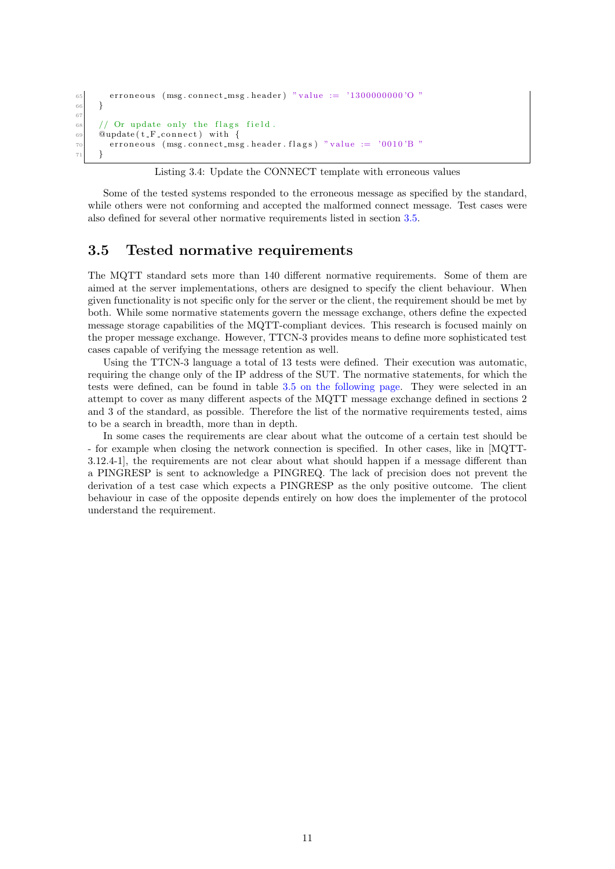```
\sigma<sub>65</sub> erroneous (msg.connect_msg.header) "value := '1300000000'O "
66 }
67
68 // Or update only the flags field.
69 \qquad Qupdate (t_F_connect) with {
\sigma erroneous (msg.connect_msg.header.flags) "value := '0010'B "
71 }
```
Some of the tested systems responded to the erroneous message as specified by the standard, while others were not conforming and accepted the malformed connect message. Test cases were also defined for several other normative requirements listed in section [3.5.](#page-12-0)

## <span id="page-12-0"></span>3.5 Tested normative requirements

The MQTT standard sets more than 140 different normative requirements. Some of them are aimed at the server implementations, others are designed to specify the client behaviour. When given functionality is not specific only for the server or the client, the requirement should be met by both. While some normative statements govern the message exchange, others define the expected message storage capabilities of the MQTT-compliant devices. This research is focused mainly on the proper message exchange. However, TTCN-3 provides means to define more sophisticated test cases capable of verifying the message retention as well.

Using the TTCN-3 language a total of 13 tests were defined. Their execution was automatic, requiring the change only of the IP address of the SUT. The normative statements, for which the tests were defined, can be found in table [3.5 on the following page.](#page-13-1) They were selected in an attempt to cover as many different aspects of the MQTT message exchange defined in sections 2 and 3 of the standard, as possible. Therefore the list of the normative requirements tested, aims to be a search in breadth, more than in depth.

In some cases the requirements are clear about what the outcome of a certain test should be - for example when closing the network connection is specified. In other cases, like in [MQTT-3.12.4-1], the requirements are not clear about what should happen if a message different than a PINGRESP is sent to acknowledge a PINGREQ. The lack of precision does not prevent the derivation of a test case which expects a PINGRESP as the only positive outcome. The client behaviour in case of the opposite depends entirely on how does the implementer of the protocol understand the requirement.

Listing 3.4: Update the CONNECT template with erroneous values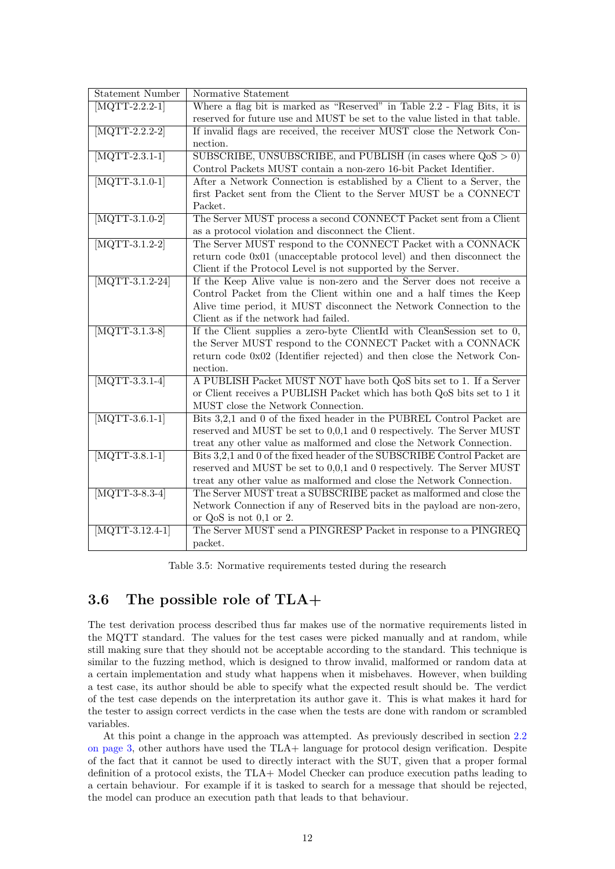| <b>Statement Number</b>            | Normative Statement                                                        |  |  |  |  |  |  |  |
|------------------------------------|----------------------------------------------------------------------------|--|--|--|--|--|--|--|
| $[MQTT-2.2.2-1]$                   | Where a flag bit is marked as "Reserved" in Table 2.2 - Flag Bits, it is   |  |  |  |  |  |  |  |
|                                    | reserved for future use and MUST be set to the value listed in that table. |  |  |  |  |  |  |  |
| $\overline{\text{MQTT-2.2.2-2}}$   | If invalid flags are received, the receiver MUST close the Network Con-    |  |  |  |  |  |  |  |
|                                    |                                                                            |  |  |  |  |  |  |  |
|                                    | nection.                                                                   |  |  |  |  |  |  |  |
| $[MQTT-2.3.1-1]$                   | SUBSCRIBE, UNSUBSCRIBE, and PUBLISH (in cases where $QoS > 0$ )            |  |  |  |  |  |  |  |
|                                    | Control Packets MUST contain a non-zero 16-bit Packet Identifier.          |  |  |  |  |  |  |  |
| $\overline{\text{MQTT-3.1.0-1}}$   | After a Network Connection is established by a Client to a Server, the     |  |  |  |  |  |  |  |
|                                    | first Packet sent from the Client to the Server MUST be a CONNECT          |  |  |  |  |  |  |  |
|                                    | Packet.                                                                    |  |  |  |  |  |  |  |
| $\overline{\text{[MQTT-3.1.0-2]}}$ | The Server MUST process a second CONNECT Packet sent from a Client         |  |  |  |  |  |  |  |
|                                    | as a protocol violation and disconnect the Client.                         |  |  |  |  |  |  |  |
| $\overline{\text{MQTT-3.1.2-2}}$   | The Server MUST respond to the CONNECT Packet with a CONNACK               |  |  |  |  |  |  |  |
|                                    | return code 0x01 (unacceptable protocol level) and then disconnect the     |  |  |  |  |  |  |  |
|                                    | Client if the Protocol Level is not supported by the Server.               |  |  |  |  |  |  |  |
| $\overline{\text{MQTT-3.1.2-24}}$  | If the Keep Alive value is non-zero and the Server does not receive a      |  |  |  |  |  |  |  |
|                                    | Control Packet from the Client within one and a half times the Keep        |  |  |  |  |  |  |  |
|                                    | Alive time period, it MUST disconnect the Network Connection to the        |  |  |  |  |  |  |  |
|                                    | Client as if the network had failed.                                       |  |  |  |  |  |  |  |
| $\overline{\text{MQTT-3.1.3-8}}$   | If the Client supplies a zero-byte ClientId with CleanSession set to $0$ , |  |  |  |  |  |  |  |
|                                    | the Server MUST respond to the CONNECT Packet with a CONNACK               |  |  |  |  |  |  |  |
|                                    | return code 0x02 (Identifier rejected) and then close the Network Con-     |  |  |  |  |  |  |  |
|                                    | nection.                                                                   |  |  |  |  |  |  |  |
| $[MQTT-3.3.1-4]$                   | A PUBLISH Packet MUST NOT have both QoS bits set to 1. If a Server         |  |  |  |  |  |  |  |
|                                    | or Client receives a PUBLISH Packet which has both QoS bits set to 1 it    |  |  |  |  |  |  |  |
|                                    | MUST close the Network Connection.                                         |  |  |  |  |  |  |  |
| $\overline{\text{MQTT-3.6.1-1}}$   | Bits 3,2,1 and 0 of the fixed header in the PUBREL Control Packet are      |  |  |  |  |  |  |  |
|                                    | reserved and MUST be set to 0,0,1 and 0 respectively. The Server MUST      |  |  |  |  |  |  |  |
|                                    | treat any other value as malformed and close the Network Connection.       |  |  |  |  |  |  |  |
| $\overline{\text{[MQTT-3.8.1-1]}}$ | Bits 3,2,1 and 0 of the fixed header of the SUBSCRIBE Control Packet are   |  |  |  |  |  |  |  |
|                                    | reserved and MUST be set to 0,0,1 and 0 respectively. The Server MUST      |  |  |  |  |  |  |  |
|                                    | treat any other value as malformed and close the Network Connection.       |  |  |  |  |  |  |  |
| $\overline{\text{MQTT-3-8.3-4}}$   | The Server MUST treat a SUBSCRIBE packet as malformed and close the        |  |  |  |  |  |  |  |
|                                    | Network Connection if any of Reserved bits in the payload are non-zero,    |  |  |  |  |  |  |  |
|                                    | or $QoS$ is not $0,1$ or 2.                                                |  |  |  |  |  |  |  |
| $\overline{\text{MQTT-3.12.4-1}}$  | The Server MUST send a PINGRESP Packet in response to a PINGREQ            |  |  |  |  |  |  |  |
|                                    | packet.                                                                    |  |  |  |  |  |  |  |
|                                    |                                                                            |  |  |  |  |  |  |  |

<span id="page-13-1"></span>Table 3.5: Normative requirements tested during the research

## <span id="page-13-0"></span>3.6 The possible role of TLA+

The test derivation process described thus far makes use of the normative requirements listed in the MQTT standard. The values for the test cases were picked manually and at random, while still making sure that they should not be acceptable according to the standard. This technique is similar to the fuzzing method, which is designed to throw invalid, malformed or random data at a certain implementation and study what happens when it misbehaves. However, when building a test case, its author should be able to specify what the expected result should be. The verdict of the test case depends on the interpretation its author gave it. This is what makes it hard for the tester to assign correct verdicts in the case when the tests are done with random or scrambled variables.

At this point a change in the approach was attempted. As previously described in section [2.2](#page-4-0) [on page 3,](#page-4-0) other authors have used the TLA+ language for protocol design verification. Despite of the fact that it cannot be used to directly interact with the SUT, given that a proper formal definition of a protocol exists, the TLA+ Model Checker can produce execution paths leading to a certain behaviour. For example if it is tasked to search for a message that should be rejected, the model can produce an execution path that leads to that behaviour.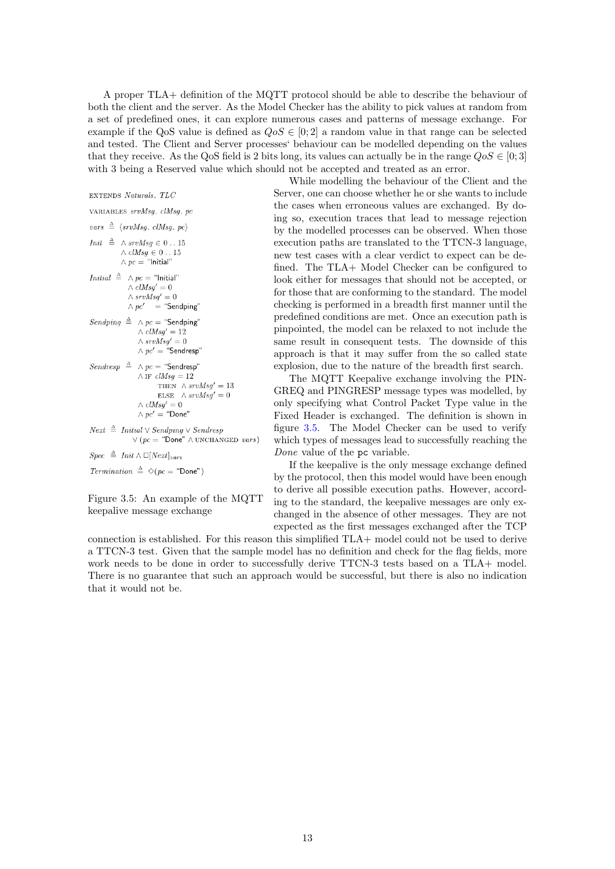A proper TLA+ definition of the MQTT protocol should be able to describe the behaviour of both the client and the server. As the Model Checker has the ability to pick values at random from a set of predefined ones, it can explore numerous cases and patterns of message exchange. For example if the QoS value is defined as  $Q \circ S \in [0; 2]$  a random value in that range can be selected and tested. The Client and Server processes' behaviour can be modelled depending on the values that they receive. As the QoS field is 2 bits long, its values can actually be in the range  $Q \circ S \in [0,3]$ with 3 being a Reserved value which should not be accepted and treated as an error.

EXTENDS Naturals, TLC VARIABLES srvMsq. clMsq. pc  $vars \triangleq$  (srvMsq, clMsq, pc) *Init*  $\triangleq \wedge$  *srvMsg*  $\in$  0...15  $\wedge$   $\emph{clMsg} \in 0$ ...15  $\wedge pc =$  "Initial" *Initial*  $\triangleq \wedge pc =$  "Initial"  $\wedge$  clMsq' = 0  $\wedge$   $srv\check{M}sg' = 0$  $\wedge pc'$  = "Sendping" Sendping  $\triangleq \wedge pc =$  "Sendping"  $\wedge$   $\ensuremath{\textit{clMsg\!}\xspace' = 12$  $\wedge$   $srvMsg' = 0$  $\wedge pc' =$  "Sendresp" Sendresp  $\triangleq \wedge pc =$  "Sendresp"  $\wedge$  IF  $clMsg = 12$ THEN  $\land$  srv $Msq' = 13$ ELSE  $\land$  srv $Msg' = 0$  $\wedge$   $clMsg' = 0$  $\wedge pc' =$  "Done"  $\begin{array}{rcl} Next \ \triangleq & Initial \lor Sendping \lor Sendresp \end{array}$  $\vee$  (pc = "Done"  $\wedge$  UNCHANGED vars)  $Spec \triangleq Init \wedge \Box[Next]_{vars}$ Termination  $\triangleq \Diamond (pc = \text{``Done''})$ 

<span id="page-14-0"></span>Figure 3.5: An example of the MQTT keepalive message exchange

While modelling the behaviour of the Client and the Server, one can choose whether he or she wants to include the cases when erroneous values are exchanged. By doing so, execution traces that lead to message rejection by the modelled processes can be observed. When those execution paths are translated to the TTCN-3 language, new test cases with a clear verdict to expect can be defined. The TLA+ Model Checker can be configured to look either for messages that should not be accepted, or for those that are conforming to the standard. The model checking is performed in a breadth first manner until the predefined conditions are met. Once an execution path is pinpointed, the model can be relaxed to not include the same result in consequent tests. The downside of this approach is that it may suffer from the so called state explosion, due to the nature of the breadth first search.

The MQTT Keepalive exchange involving the PIN-GREQ and PINGRESP message types was modelled, by only specifying what Control Packet Type value in the Fixed Header is exchanged. The definition is shown in figure [3.5.](#page-14-0) The Model Checker can be used to verify which types of messages lead to successfully reaching the Done value of the pc variable.

If the keepalive is the only message exchange defined by the protocol, then this model would have been enough to derive all possible execution paths. However, according to the standard, the keepalive messages are only exchanged in the absence of other messages. They are not expected as the first messages exchanged after the TCP

connection is established. For this reason this simplified TLA+ model could not be used to derive a TTCN-3 test. Given that the sample model has no definition and check for the flag fields, more work needs to be done in order to successfully derive TTCN-3 tests based on a TLA+ model. There is no guarantee that such an approach would be successful, but there is also no indication that it would not be.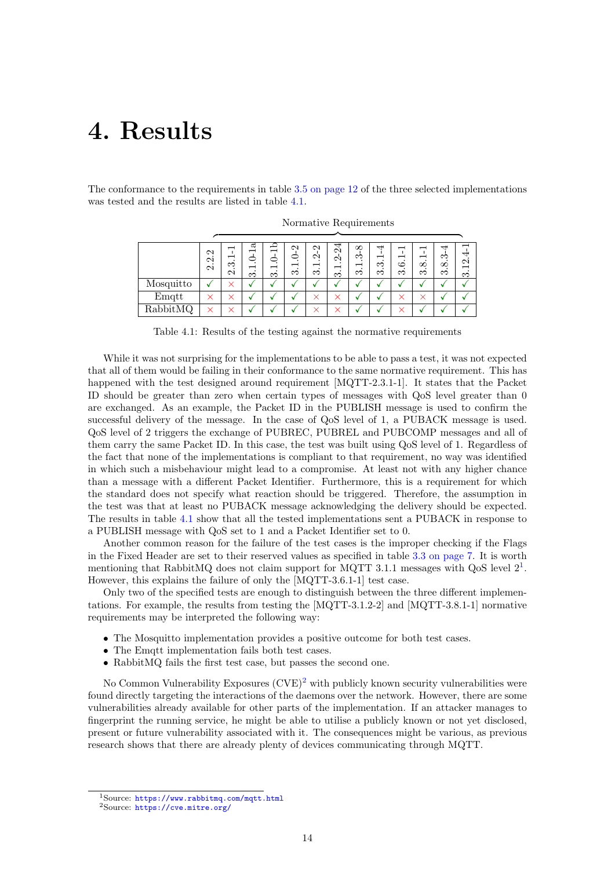# <span id="page-15-0"></span>4. Results

The conformance to the requirements in table [3.5 on page 12](#page-13-1) of the three selected implementations was tested and the results are listed in table [4.1.](#page-15-1)

|           | $\mathbf{\Omega}$<br>$\cdot$<br>$\mathbf{\Omega}$<br>$\mathbf{\Omega}$ | ∞<br>N | ದ<br>ొ | −<br>−<br>٠<br>$\infty$ | $\mathbf{\sim}$<br>٠.<br>ొ | $\sim$<br>ొ | 4<br>$\mathcal{C}$<br>Ń<br>↽<br>$\bullet$<br>S | $\infty$<br>ಌ<br>−<br>S | ↤<br>$\overline{\phantom{0}}$<br>S<br>∞ | ↽<br>−<br>ం<br>S | $\overline{\phantom{0}}$<br>$\infty$<br>ന | ب<br>٠.<br>$\infty$<br>ొ | ব<br>$\mathbf{\Omega}$<br>$\overline{\phantom{0}}$<br>ကံ |
|-----------|------------------------------------------------------------------------|--------|--------|-------------------------|----------------------------|-------------|------------------------------------------------|-------------------------|-----------------------------------------|------------------|-------------------------------------------|--------------------------|----------------------------------------------------------|
| Mosquitto |                                                                        |        |        |                         |                            |             |                                                |                         |                                         |                  |                                           |                          |                                                          |
| Emqtt     |                                                                        |        |        |                         |                            |             | $\times$                                       |                         |                                         | $\times$         |                                           |                          |                                                          |
| RabbitMQ  | $\checkmark$                                                           |        |        |                         |                            |             | $\checkmark$                                   |                         |                                         | $\checkmark$     |                                           |                          |                                                          |

Normative Requirements

<span id="page-15-1"></span>Table 4.1: Results of the testing against the normative requirements

While it was not surprising for the implementations to be able to pass a test, it was not expected that all of them would be failing in their conformance to the same normative requirement. This has happened with the test designed around requirement [MQTT-2.3.1-1]. It states that the Packet ID should be greater than zero when certain types of messages with QoS level greater than 0 are exchanged. As an example, the Packet ID in the PUBLISH message is used to confirm the successful delivery of the message. In the case of QoS level of 1, a PUBACK message is used. QoS level of 2 triggers the exchange of PUBREC, PUBREL and PUBCOMP messages and all of them carry the same Packet ID. In this case, the test was built using QoS level of 1. Regardless of the fact that none of the implementations is compliant to that requirement, no way was identified in which such a misbehaviour might lead to a compromise. At least not with any higher chance than a message with a different Packet Identifier. Furthermore, this is a requirement for which the standard does not specify what reaction should be triggered. Therefore, the assumption in the test was that at least no PUBACK message acknowledging the delivery should be expected. The results in table [4.1](#page-15-1) show that all the tested implementations sent a PUBACK in response to a PUBLISH message with QoS set to 1 and a Packet Identifier set to 0.

Another common reason for the failure of the test cases is the improper checking if the Flags in the Fixed Header are set to their reserved values as specified in table [3.3 on page 7.](#page-8-1) It is worth mentioning that RabbitMQ does not claim support for MQTT 3.[1](#page-15-2).1 messages with  $QoS$  level  $2<sup>1</sup>$ . However, this explains the failure of only the [MQTT-3.6.1-1] test case.

Only two of the specified tests are enough to distinguish between the three different implementations. For example, the results from testing the [MQTT-3.1.2-2] and [MQTT-3.8.1-1] normative requirements may be interpreted the following way:

- The Mosquitto implementation provides a positive outcome for both test cases.
- The Emqtt implementation fails both test cases.
- RabbitMQ fails the first test case, but passes the second one.

No Common Vulnerability Exposures  $(CVE)^2$  $(CVE)^2$  with publicly known security vulnerabilities were found directly targeting the interactions of the daemons over the network. However, there are some vulnerabilities already available for other parts of the implementation. If an attacker manages to fingerprint the running service, he might be able to utilise a publicly known or not yet disclosed, present or future vulnerability associated with it. The consequences might be various, as previous research shows that there are already plenty of devices communicating through MQTT.

<span id="page-15-2"></span><sup>1</sup>Source: <https://www.rabbitmq.com/mqtt.html>

<span id="page-15-3"></span><sup>2</sup>Source: <https://cve.mitre.org/>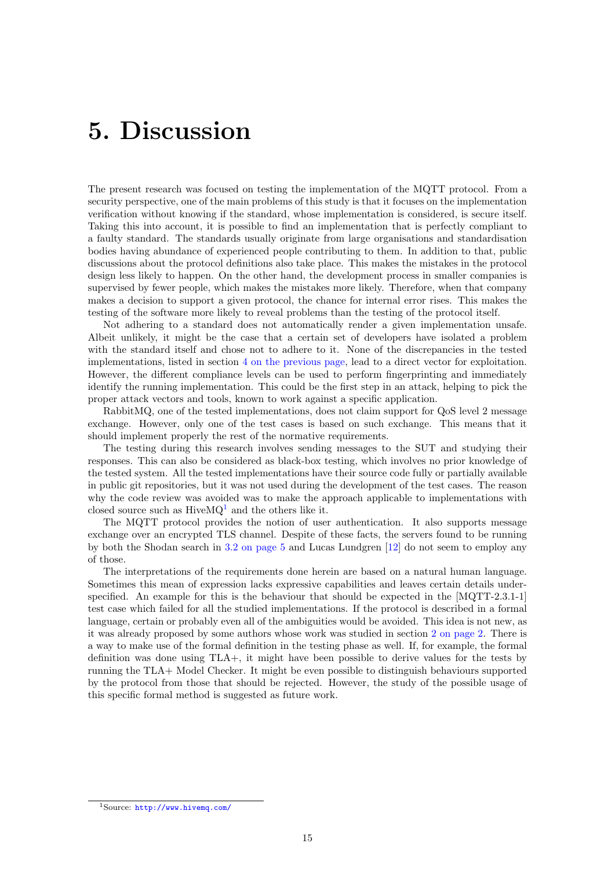## <span id="page-16-0"></span>5. Discussion

The present research was focused on testing the implementation of the MQTT protocol. From a security perspective, one of the main problems of this study is that it focuses on the implementation verification without knowing if the standard, whose implementation is considered, is secure itself. Taking this into account, it is possible to find an implementation that is perfectly compliant to a faulty standard. The standards usually originate from large organisations and standardisation bodies having abundance of experienced people contributing to them. In addition to that, public discussions about the protocol definitions also take place. This makes the mistakes in the protocol design less likely to happen. On the other hand, the development process in smaller companies is supervised by fewer people, which makes the mistakes more likely. Therefore, when that company makes a decision to support a given protocol, the chance for internal error rises. This makes the testing of the software more likely to reveal problems than the testing of the protocol itself.

Not adhering to a standard does not automatically render a given implementation unsafe. Albeit unlikely, it might be the case that a certain set of developers have isolated a problem with the standard itself and chose not to adhere to it. None of the discrepancies in the tested implementations, listed in section [4 on the previous page,](#page-15-0) lead to a direct vector for exploitation. However, the different compliance levels can be used to perform fingerprinting and immediately identify the running implementation. This could be the first step in an attack, helping to pick the proper attack vectors and tools, known to work against a specific application.

RabbitMQ, one of the tested implementations, does not claim support for QoS level 2 message exchange. However, only one of the test cases is based on such exchange. This means that it should implement properly the rest of the normative requirements.

The testing during this research involves sending messages to the SUT and studying their responses. This can also be considered as black-box testing, which involves no prior knowledge of the tested system. All the tested implementations have their source code fully or partially available in public git repositories, but it was not used during the development of the test cases. The reason why the code review was avoided was to make the approach applicable to implementations with closed source such as  $HiveMQ<sup>1</sup>$  $HiveMQ<sup>1</sup>$  $HiveMQ<sup>1</sup>$  and the others like it.

The MQTT protocol provides the notion of user authentication. It also supports message exchange over an encrypted TLS channel. Despite of these facts, the servers found to be running by both the Shodan search in [3.2 on page 5](#page-6-2) and Lucas Lundgren [\[12\]](#page-19-13) do not seem to employ any of those.

The interpretations of the requirements done herein are based on a natural human language. Sometimes this mean of expression lacks expressive capabilities and leaves certain details underspecified. An example for this is the behaviour that should be expected in the [MQTT-2.3.1-1] test case which failed for all the studied implementations. If the protocol is described in a formal language, certain or probably even all of the ambiguities would be avoided. This idea is not new, as it was already proposed by some authors whose work was studied in section [2 on page 2.](#page-3-0) There is a way to make use of the formal definition in the testing phase as well. If, for example, the formal definition was done using TLA+, it might have been possible to derive values for the tests by running the TLA+ Model Checker. It might be even possible to distinguish behaviours supported by the protocol from those that should be rejected. However, the study of the possible usage of this specific formal method is suggested as future work.

<span id="page-16-1"></span><sup>1</sup>Source: <http://www.hivemq.com/>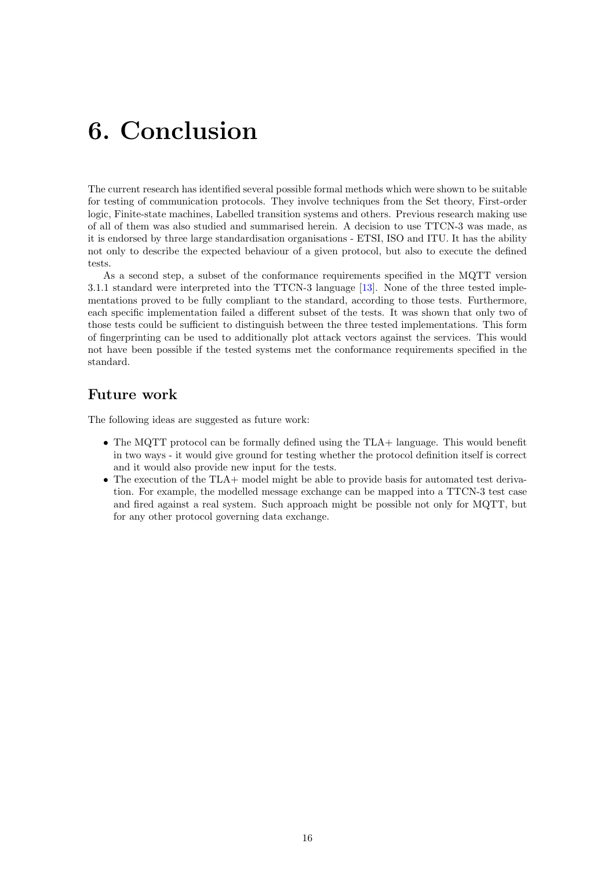# <span id="page-17-0"></span>6. Conclusion

The current research has identified several possible formal methods which were shown to be suitable for testing of communication protocols. They involve techniques from the Set theory, First-order logic, Finite-state machines, Labelled transition systems and others. Previous research making use of all of them was also studied and summarised herein. A decision to use TTCN-3 was made, as it is endorsed by three large standardisation organisations - ETSI, ISO and ITU. It has the ability not only to describe the expected behaviour of a given protocol, but also to execute the defined tests.

As a second step, a subset of the conformance requirements specified in the MQTT version 3.1.1 standard were interpreted into the TTCN-3 language [\[13\]](#page-19-15). None of the three tested implementations proved to be fully compliant to the standard, according to those tests. Furthermore, each specific implementation failed a different subset of the tests. It was shown that only two of those tests could be sufficient to distinguish between the three tested implementations. This form of fingerprinting can be used to additionally plot attack vectors against the services. This would not have been possible if the tested systems met the conformance requirements specified in the standard.

## Future work

<span id="page-17-1"></span>The following ideas are suggested as future work:

- The MQTT protocol can be formally defined using the TLA+ language. This would benefit in two ways - it would give ground for testing whether the protocol definition itself is correct and it would also provide new input for the tests.
- The execution of the TLA+ model might be able to provide basis for automated test derivation. For example, the modelled message exchange can be mapped into a TTCN-3 test case and fired against a real system. Such approach might be possible not only for MQTT, but for any other protocol governing data exchange.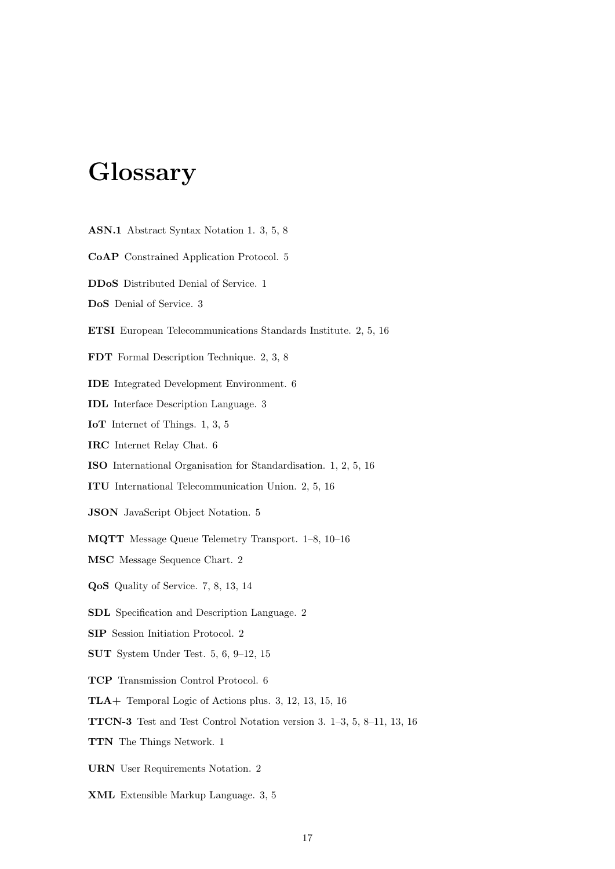# Glossary

- ASN.1 Abstract Syntax Notation 1. 3, 5, 8
- CoAP Constrained Application Protocol. 5
- DDoS Distributed Denial of Service. 1
- DoS Denial of Service. 3
- ETSI European Telecommunications Standards Institute. 2, 5, 16
- FDT Formal Description Technique. 2, 3, 8
- IDE Integrated Development Environment. 6
- IDL Interface Description Language. 3
- IoT Internet of Things. 1, 3, 5
- IRC Internet Relay Chat. 6
- ISO International Organisation for Standardisation. 1, 2, 5, 16
- ITU International Telecommunication Union. 2, 5, 16
- JSON JavaScript Object Notation. 5
- MQTT Message Queue Telemetry Transport. 1–8, 10–16
- MSC Message Sequence Chart. 2
- QoS Quality of Service. 7, 8, 13, 14
- SDL Specification and Description Language. 2
- SIP Session Initiation Protocol. 2
- SUT System Under Test. 5, 6, 9–12, 15
- TCP Transmission Control Protocol. 6
- TLA+ Temporal Logic of Actions plus. 3, 12, 13, 15, 16
- TTCN-3 Test and Test Control Notation version 3. 1–3, 5, 8–11, 13, 16
- TTN The Things Network. 1
- URN User Requirements Notation. 2
- XML Extensible Markup Language. 3, 5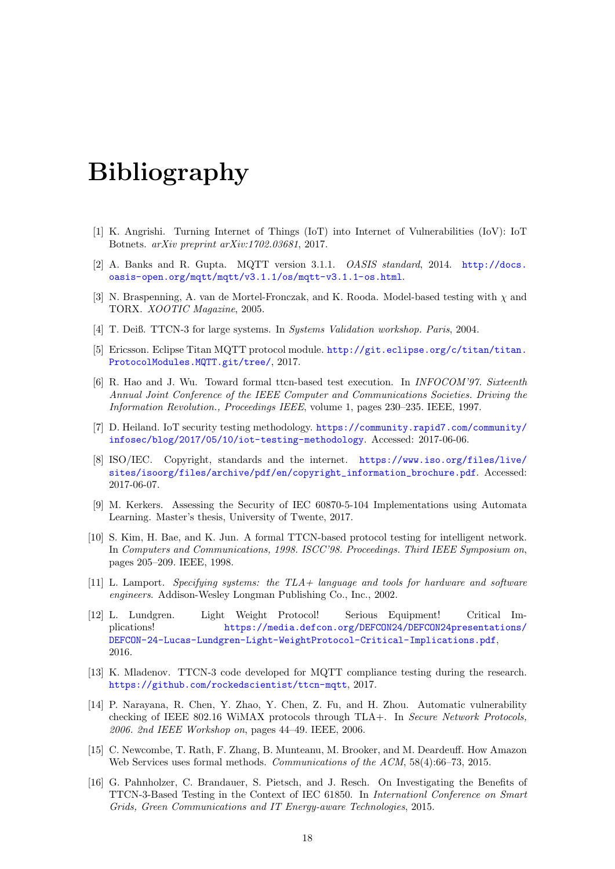## Bibliography

- <span id="page-19-0"></span>[1] K. Angrishi. Turning Internet of Things (IoT) into Internet of Vulnerabilities (IoV): IoT Botnets. arXiv preprint arXiv:1702.03681, 2017.
- <span id="page-19-12"></span>[2] A. Banks and R. Gupta. MQTT version 3.1.1. OASIS standard, 2014. [http://docs.](http://docs.oasis-open.org/mqtt/mqtt/v3.1.1/os/mqtt-v3.1.1-os.html) [oasis-open.org/mqtt/mqtt/v3.1.1/os/mqtt-v3.1.1-os.html](http://docs.oasis-open.org/mqtt/mqtt/v3.1.1/os/mqtt-v3.1.1-os.html).
- <span id="page-19-8"></span>[3] N. Braspenning, A. van de Mortel-Fronczak, and K. Rooda. Model-based testing with  $\chi$  and TORX. XOOTIC Magazine, 2005.
- <span id="page-19-4"></span>[4] T. Deiß. TTCN-3 for large systems. In Systems Validation workshop. Paris, 2004.
- <span id="page-19-14"></span>[5] Ericsson. Eclipse Titan MQTT protocol module. [http://git.eclipse.org/c/titan/titan.](http://git.eclipse.org/c/titan/titan.ProtocolModules.MQTT.git/tree/) [ProtocolModules.MQTT.git/tree/](http://git.eclipse.org/c/titan/titan.ProtocolModules.MQTT.git/tree/), 2017.
- <span id="page-19-3"></span>[6] R. Hao and J. Wu. Toward formal ttcn-based test execution. In INFOCOM'97. Sixteenth Annual Joint Conference of the IEEE Computer and Communications Societies. Driving the Information Revolution., Proceedings IEEE, volume 1, pages 230–235. IEEE, 1997.
- <span id="page-19-1"></span>[7] D. Heiland. IoT security testing methodology. [https://community.rapid7.com/community/](https://community.rapid7.com/community/infosec/blog/2017/05/10/iot-testing-methodology) [infosec/blog/2017/05/10/iot-testing-methodology](https://community.rapid7.com/community/infosec/blog/2017/05/10/iot-testing-methodology). Accessed: 2017-06-06.
- <span id="page-19-2"></span>[8] ISO/IEC. Copyright, standards and the internet. [https://www.iso.org/files/live/](https://www.iso.org/files/live/sites/isoorg/files/archive/pdf/en/copyright_information_brochure.pdf) [sites/isoorg/files/archive/pdf/en/copyright\\_information\\_brochure.pdf](https://www.iso.org/files/live/sites/isoorg/files/archive/pdf/en/copyright_information_brochure.pdf). Accessed: 2017-06-07.
- <span id="page-19-7"></span>[9] M. Kerkers. Assessing the Security of IEC 60870-5-104 Implementations using Automata Learning. Master's thesis, University of Twente, 2017.
- <span id="page-19-5"></span>[10] S. Kim, H. Bae, and K. Jun. A formal TTCN-based protocol testing for intelligent network. In Computers and Communications, 1998. ISCC'98. Proceedings. Third IEEE Symposium on, pages 205–209. IEEE, 1998.
- <span id="page-19-9"></span>[11] L. Lamport. Specifying systems: the TLA + language and tools for hardware and software engineers. Addison-Wesley Longman Publishing Co., Inc., 2002.
- <span id="page-19-13"></span>[12] L. Lundgren. Light Weight Protocol! Serious Equipment! Critical Implications! [https://media.defcon.org/DEFCON24/DEFCON24presentations/](https://media.defcon.org/DEF CON 24/DEF CON 24 presentations/DEFCON-24-Lucas-Lundgren-Light-Weight Protocol-Critical-Implications.pdf) [DEFCON-24-Lucas-Lundgren-Light-WeightProtocol-Critical-Implications.pdf](https://media.defcon.org/DEF CON 24/DEF CON 24 presentations/DEFCON-24-Lucas-Lundgren-Light-Weight Protocol-Critical-Implications.pdf), 2016.
- <span id="page-19-15"></span>[13] K. Mladenov. TTCN-3 code developed for MQTT compliance testing during the research. <https://github.com/rockedscientist/ttcn-mqtt>, 2017.
- <span id="page-19-11"></span>[14] P. Narayana, R. Chen, Y. Zhao, Y. Chen, Z. Fu, and H. Zhou. Automatic vulnerability checking of IEEE 802.16 WiMAX protocols through TLA+. In Secure Network Protocols,  $2006.$  2nd IEEE Workshop on, pages  $44-49.$  IEEE,  $2006.$
- <span id="page-19-10"></span>[15] C. Newcombe, T. Rath, F. Zhang, B. Munteanu, M. Brooker, and M. Deardeuff. How Amazon Web Services uses formal methods. Communications of the ACM, 58(4):66–73, 2015.
- <span id="page-19-6"></span>[16] G. Pahnholzer, C. Brandauer, S. Pietsch, and J. Resch. On Investigating the Benefits of TTCN-3-Based Testing in the Context of IEC 61850. In Internationl Conference on Smart Grids, Green Communications and IT Energy-aware Technologies, 2015.